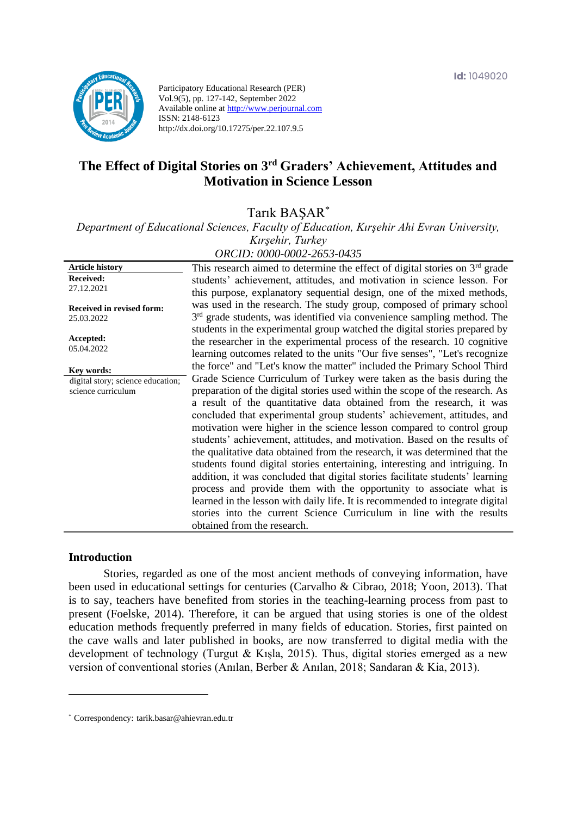

Participatory Educational Research (PER) Vol.9(5), pp. 127-142, September 2022 Available online at http://www.perjournal.com ISSN: 2148-6123 http://dx.doi.org/10.17275/per.22.107.9.5

# **The Effect of Digital Stories on 3rd Graders' Achievement, Attitudes and Motivation in Science Lesson**

Tarık BAŞAR\*

*Department of Educational Sciences, Faculty of Education, Kırşehir Ahi Evran University, Kırşehir, Turkey*

| ORCID: 0000-0002-2653-0435 |  |
|----------------------------|--|
|----------------------------|--|

**Article history Received:**  27.12.2021 **Received in revised form:**  25.03.2022 **Accepted:** 05.04.2022 This research aimed to determine the effect of digital stories on  $3<sup>rd</sup>$  grade students' achievement, attitudes, and motivation in science lesson. For this purpose, explanatory sequential design, one of the mixed methods, was used in the research. The study group, composed of primary school 3<sup>rd</sup> grade students, was identified via convenience sampling method. The students in the experimental group watched the digital stories prepared by the researcher in the experimental process of the research. 10 cognitive learning outcomes related to the units "Our five senses", "Let's recognize the force" and "Let's know the matter" included the Primary School Third Grade Science Curriculum of Turkey were taken as the basis during the preparation of the digital stories used within the scope of the research. As a result of the quantitative data obtained from the research, it was concluded that experimental group students' achievement, attitudes, and motivation were higher in the science lesson compared to control group students' achievement, attitudes, and motivation. Based on the results of the qualitative data obtained from the research, it was determined that the students found digital stories entertaining, interesting and intriguing. In addition, it was concluded that digital stories facilitate students' learning process and provide them with the opportunity to associate what is learned in the lesson with daily life. It is recommended to integrate digital stories into the current Science Curriculum in line with the results obtained from the research. **Key words:** digital story; science education; science curriculum

#### **Introduction**

Stories, regarded as one of the most ancient methods of conveying information, have been used in educational settings for centuries (Carvalho & Cibrao, 2018; Yoon, 2013). That is to say, teachers have benefited from stories in the teaching-learning process from past to present (Foelske, 2014). Therefore, it can be argued that using stories is one of the oldest education methods frequently preferred in many fields of education. Stories, first painted on the cave walls and later published in books, are now transferred to digital media with the development of technology (Turgut & Kışla, 2015). Thus, digital stories emerged as a new version of conventional stories (Anılan, Berber & Anılan, 2018; Sandaran & Kia, 2013).

<sup>\*</sup> [Correspondency:](mailto:Correspondency:) tarik.basar@ahievran.edu.tr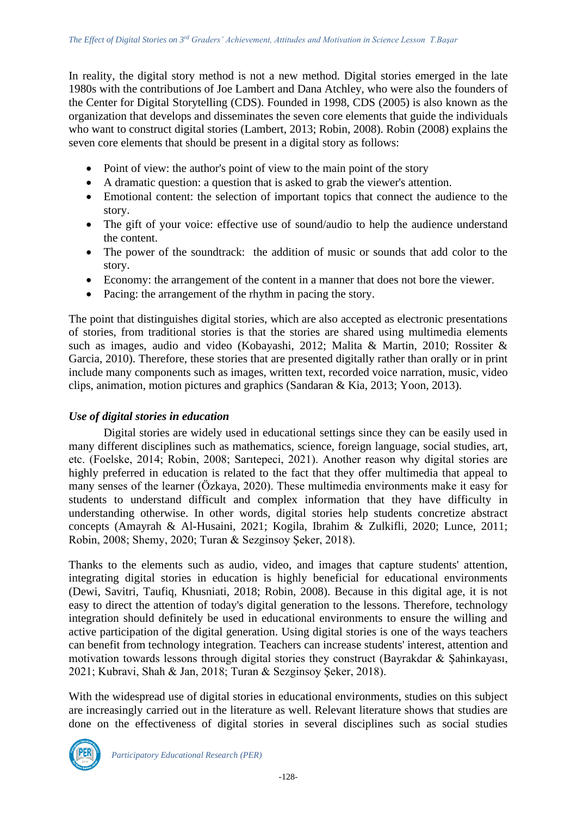In reality, the digital story method is not a new method. Digital stories emerged in the late 1980s with the contributions of Joe Lambert and Dana Atchley, who were also the founders of the Center for Digital Storytelling (CDS). Founded in 1998, CDS (2005) is also known as the organization that develops and disseminates the seven core elements that guide the individuals who want to construct digital stories (Lambert, 2013; Robin, 2008). Robin (2008) explains the seven core elements that should be present in a digital story as follows:

- Point of view: the author's point of view to the main point of the story
- A dramatic question: a question that is asked to grab the viewer's attention.
- Emotional content: the selection of important topics that connect the audience to the story.
- The gift of your voice: effective use of sound/audio to help the audience understand the content.
- The power of the soundtrack: the addition of music or sounds that add color to the story.
- Economy: the arrangement of the content in a manner that does not bore the viewer.
- Pacing: the arrangement of the rhythm in pacing the story.

The point that distinguishes digital stories, which are also accepted as electronic presentations of stories, from traditional stories is that the stories are shared using multimedia elements such as images, audio and video (Kobayashi, 2012; Malita & Martin, 2010; Rossiter & Garcia, 2010). Therefore, these stories that are presented digitally rather than orally or in print include many components such as images, written text, recorded voice narration, music, video clips, animation, motion pictures and graphics (Sandaran & Kia, 2013; Yoon, 2013).

## *Use of digital stories in education*

Digital stories are widely used in educational settings since they can be easily used in many different disciplines such as mathematics, science, foreign language, social studies, art, etc. (Foelske, 2014; Robin, 2008; Sarıtepeci, 2021). Another reason why digital stories are highly preferred in education is related to the fact that they offer multimedia that appeal to many senses of the learner (Özkaya, 2020). These multimedia environments make it easy for students to understand difficult and complex information that they have difficulty in understanding otherwise. In other words, digital stories help students concretize abstract concepts (Amayrah & Al-Husaini, 2021; Kogila, Ibrahim & Zulkifli, 2020; Lunce, 2011; Robin, 2008; Shemy, 2020; Turan & Sezginsoy Şeker, 2018).

Thanks to the elements such as audio, video, and images that capture students' attention, integrating digital stories in education is highly beneficial for educational environments (Dewi, Savitri, Taufiq, Khusniati, 2018; Robin, 2008). Because in this digital age, it is not easy to direct the attention of today's digital generation to the lessons. Therefore, technology integration should definitely be used in educational environments to ensure the willing and active participation of the digital generation. Using digital stories is one of the ways teachers can benefit from technology integration. Teachers can increase students' interest, attention and motivation towards lessons through digital stories they construct (Bayrakdar & Şahinkayası, 2021; Kubravi, Shah & Jan, 2018; Turan & Sezginsoy Şeker, 2018).

With the widespread use of digital stories in educational environments, studies on this subject are increasingly carried out in the literature as well. Relevant literature shows that studies are done on the effectiveness of digital stories in several disciplines such as social studies

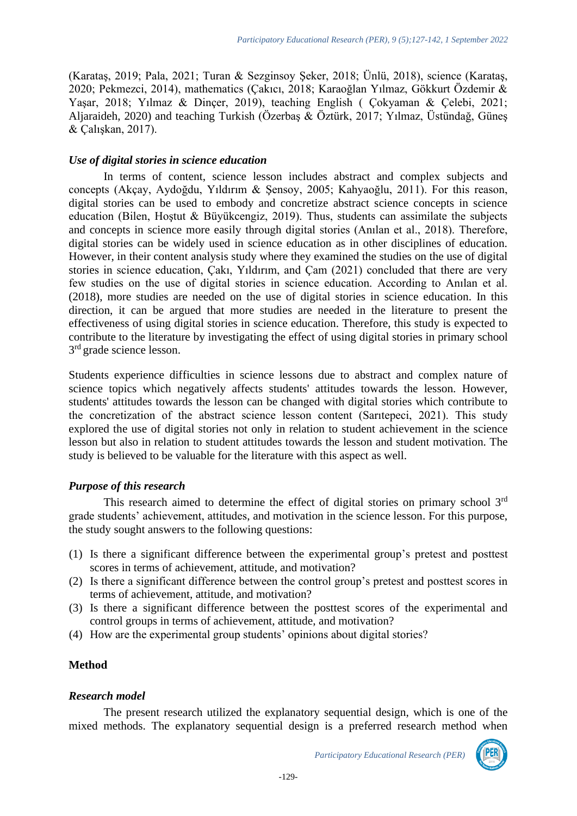(Karataş, 2019; Pala, 2021; Turan & Sezginsoy Şeker, 2018; Ünlü, 2018), science (Karataş, 2020; Pekmezci, 2014), mathematics (Çakıcı, 2018; Karaoğlan Yılmaz, Gökkurt Özdemir & Yaşar, 2018; Yılmaz & Dinçer, 2019), teaching English ( Çokyaman & Çelebi, 2021; Aljaraideh, 2020) and teaching Turkish (Özerbaş & Öztürk, 2017; Yılmaz, Üstündağ, Güneş & Çalışkan, 2017).

## *Use of digital stories in science education*

In terms of content, science lesson includes abstract and complex subjects and concepts (Akçay, Aydoğdu, Yıldırım & Şensoy, 2005; Kahyaoğlu, 2011). For this reason, digital stories can be used to embody and concretize abstract science concepts in science education (Bilen, Hoştut & Büyükcengiz, 2019). Thus, students can assimilate the subjects and concepts in science more easily through digital stories (Anılan et al., 2018). Therefore, digital stories can be widely used in science education as in other disciplines of education. However, in their content analysis study where they examined the studies on the use of digital stories in science education, Çakı, Yıldırım, and Çam (2021) concluded that there are very few studies on the use of digital stories in science education. According to Anılan et al. (2018), more studies are needed on the use of digital stories in science education. In this direction, it can be argued that more studies are needed in the literature to present the effectiveness of using digital stories in science education. Therefore, this study is expected to contribute to the literature by investigating the effect of using digital stories in primary school 3<sup>rd</sup> grade science lesson.

Students experience difficulties in science lessons due to abstract and complex nature of science topics which negatively affects students' attitudes towards the lesson. However, students' attitudes towards the lesson can be changed with digital stories which contribute to the concretization of the abstract science lesson content (Sarıtepeci, 2021). This study explored the use of digital stories not only in relation to student achievement in the science lesson but also in relation to student attitudes towards the lesson and student motivation. The study is believed to be valuable for the literature with this aspect as well.

## *Purpose of this research*

This research aimed to determine the effect of digital stories on primary school 3rd grade students' achievement, attitudes, and motivation in the science lesson. For this purpose, the study sought answers to the following questions:

- (1) Is there a significant difference between the experimental group's pretest and posttest scores in terms of achievement, attitude, and motivation?
- (2) Is there a significant difference between the control group's pretest and posttest scores in terms of achievement, attitude, and motivation?
- (3) Is there a significant difference between the posttest scores of the experimental and control groups in terms of achievement, attitude, and motivation?
- (4) How are the experimental group students' opinions about digital stories?

# **Method**

#### *Research model*

The present research utilized the explanatory sequential design, which is one of the mixed methods. The explanatory sequential design is a preferred research method when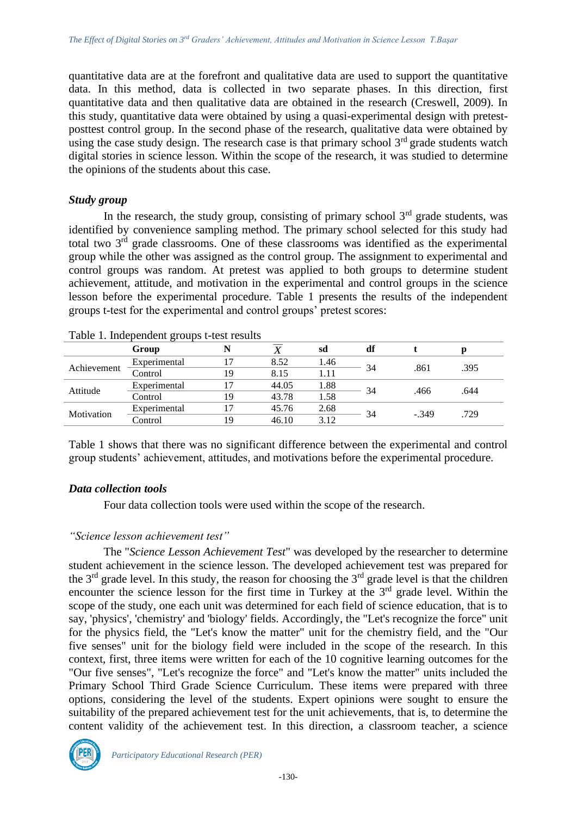quantitative data are at the forefront and qualitative data are used to support the quantitative data. In this method, data is collected in two separate phases. In this direction, first quantitative data and then qualitative data are obtained in the research (Creswell, 2009). In this study, quantitative data were obtained by using a quasi-experimental design with pretestposttest control group. In the second phase of the research, qualitative data were obtained by using the case study design. The research case is that primary school 3<sup>rd</sup> grade students watch digital stories in science lesson. Within the scope of the research, it was studied to determine the opinions of the students about this case.

#### *Study group*

In the research, the study group, consisting of primary school  $3<sup>rd</sup>$  grade students, was identified by convenience sampling method. The primary school selected for this study had total two 3rd grade classrooms. One of these classrooms was identified as the experimental group while the other was assigned as the control group. The assignment to experimental and control groups was random. At pretest was applied to both groups to determine student achievement, attitude, and motivation in the experimental and control groups in the science lesson before the experimental procedure. Table 1 presents the results of the independent groups t-test for the experimental and control groups' pretest scores:

|             | Group        |    |       | sd   | df |         |      |
|-------------|--------------|----|-------|------|----|---------|------|
| Achievement | Experimental |    | 8.52  | 1.46 | 34 | .861    | .395 |
|             | Control      | 19 | 8.15  | 1.11 |    |         |      |
| Attitude    | Experimental |    | 44.05 | 1.88 |    | .466    | .644 |
|             | Control      | 19 | 43.78 | 1.58 | 34 |         |      |
| Motivation  | Experimental |    | 45.76 | 2.68 | 34 | $-.349$ | .729 |
|             | Control      | 19 | 46.10 | 3.12 |    |         |      |
|             |              |    |       |      |    |         |      |

|  | Table 1. Independent groups t-test results |  |  |
|--|--------------------------------------------|--|--|
|--|--------------------------------------------|--|--|

Table 1 shows that there was no significant difference between the experimental and control group students' achievement, attitudes, and motivations before the experimental procedure.

## *Data collection tools*

Four data collection tools were used within the scope of the research.

## *"Science lesson achievement test"*

The "*Science Lesson Achievement Test*" was developed by the researcher to determine student achievement in the science lesson. The developed achievement test was prepared for the 3<sup>rd</sup> grade level. In this study, the reason for choosing the 3<sup>rd</sup> grade level is that the children encounter the science lesson for the first time in Turkey at the  $3<sup>rd</sup>$  grade level. Within the scope of the study, one each unit was determined for each field of science education, that is to say, 'physics', 'chemistry' and 'biology' fields. Accordingly, the "Let's recognize the force" unit for the physics field, the "Let's know the matter" unit for the chemistry field, and the "Our five senses" unit for the biology field were included in the scope of the research. In this context, first, three items were written for each of the 10 cognitive learning outcomes for the "Our five senses", "Let's recognize the force" and "Let's know the matter" units included the Primary School Third Grade Science Curriculum. These items were prepared with three options, considering the level of the students. Expert opinions were sought to ensure the suitability of the prepared achievement test for the unit achievements, that is, to determine the content validity of the achievement test. In this direction, a classroom teacher, a science

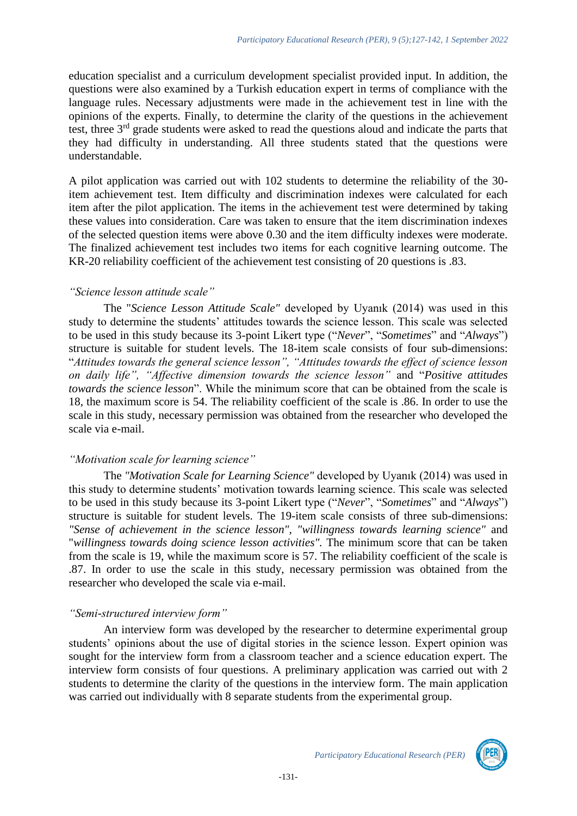education specialist and a curriculum development specialist provided input. In addition, the questions were also examined by a Turkish education expert in terms of compliance with the language rules. Necessary adjustments were made in the achievement test in line with the opinions of the experts. Finally, to determine the clarity of the questions in the achievement test, three 3rd grade students were asked to read the questions aloud and indicate the parts that they had difficulty in understanding. All three students stated that the questions were understandable.

A pilot application was carried out with 102 students to determine the reliability of the 30 item achievement test. Item difficulty and discrimination indexes were calculated for each item after the pilot application. The items in the achievement test were determined by taking these values into consideration. Care was taken to ensure that the item discrimination indexes of the selected question items were above 0.30 and the item difficulty indexes were moderate. The finalized achievement test includes two items for each cognitive learning outcome. The KR-20 reliability coefficient of the achievement test consisting of 20 questions is .83.

## *"Science lesson attitude scale"*

The "*Science Lesson Attitude Scale"* developed by Uyanık (2014) was used in this study to determine the students' attitudes towards the science lesson. This scale was selected to be used in this study because its 3-point Likert type ("*Never*", "*Sometimes*" and "*Always*") structure is suitable for student levels. The 18-item scale consists of four sub-dimensions: "*Attitudes towards the general science lesson", "Attitudes towards the effect of science lesson on daily life", "Affective dimension towards the science lesson"* and "*Positive attitudes towards the science lesson*". While the minimum score that can be obtained from the scale is 18, the maximum score is 54. The reliability coefficient of the scale is .86. In order to use the scale in this study, necessary permission was obtained from the researcher who developed the scale via e-mail.

## *"Motivation scale for learning science"*

The *"Motivation Scale for Learning Science"* developed by Uyanık (2014) was used in this study to determine students' motivation towards learning science. This scale was selected to be used in this study because its 3-point Likert type ("*Never*", "*Sometimes*" and "*Always*") structure is suitable for student levels. The 19-item scale consists of three sub-dimensions: *"Sense of achievement in the science lesson", "willingness towards learning science"* and "*willingness towards doing science lesson activities".* The minimum score that can be taken from the scale is 19, while the maximum score is 57. The reliability coefficient of the scale is .87. In order to use the scale in this study, necessary permission was obtained from the researcher who developed the scale via e-mail.

## *"Semi-structured interview form"*

An interview form was developed by the researcher to determine experimental group students' opinions about the use of digital stories in the science lesson. Expert opinion was sought for the interview form from a classroom teacher and a science education expert. The interview form consists of four questions. A preliminary application was carried out with 2 students to determine the clarity of the questions in the interview form. The main application was carried out individually with 8 separate students from the experimental group.

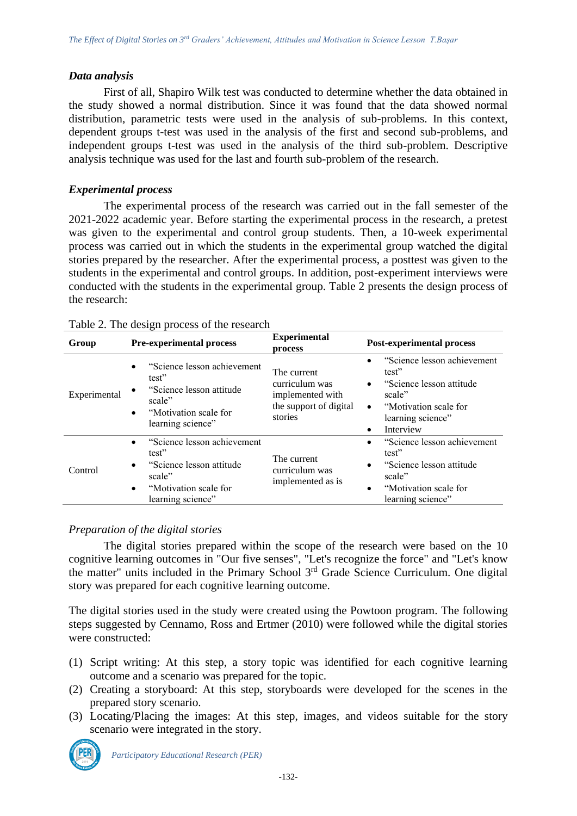## *Data analysis*

First of all, Shapiro Wilk test was conducted to determine whether the data obtained in the study showed a normal distribution. Since it was found that the data showed normal distribution, parametric tests were used in the analysis of sub-problems. In this context, dependent groups t-test was used in the analysis of the first and second sub-problems, and independent groups t-test was used in the analysis of the third sub-problem. Descriptive analysis technique was used for the last and fourth sub-problem of the research.

## *Experimental process*

The experimental process of the research was carried out in the fall semester of the 2021-2022 academic year. Before starting the experimental process in the research, a pretest was given to the experimental and control group students. Then, a 10-week experimental process was carried out in which the students in the experimental group watched the digital stories prepared by the researcher. After the experimental process, a posttest was given to the students in the experimental and control groups. In addition, post-experiment interviews were conducted with the students in the experimental group. Table 2 presents the design process of the research:

| Group        | Pre-experimental process                                                                                                                                         | <b>Experimental</b><br>process                                                         | <b>Post-experimental process</b>                                                                                                                                |
|--------------|------------------------------------------------------------------------------------------------------------------------------------------------------------------|----------------------------------------------------------------------------------------|-----------------------------------------------------------------------------------------------------------------------------------------------------------------|
| Experimental | "Science lesson achievement"<br>$\bullet$<br>test"<br>"Science lesson attitude<br>$\bullet$<br>scale"<br>"Motivation scale for<br>$\bullet$<br>learning science" | The current<br>curriculum was<br>implemented with<br>the support of digital<br>stories | "Science lesson achievement<br>test"<br>"Science lesson attitude<br>scale"<br>"Motivation scale for<br>$\bullet$<br>learning science"<br>Interview              |
| Control      | "Science lesson achievement"<br>$\bullet$<br>test"<br>"Science lesson attitude<br>$\bullet$<br>scale"<br>"Motivation scale for<br>$\bullet$<br>learning science" | The current<br>curriculum was<br>implemented as is                                     | "Science lesson achievement<br>$\bullet$<br>test"<br>"Science lesson attitude<br>$\bullet$<br>scale"<br>"Motivation scale for<br>$\bullet$<br>learning science" |

|  | Table 2. The design process of the research |
|--|---------------------------------------------|
|--|---------------------------------------------|

## *Preparation of the digital stories*

The digital stories prepared within the scope of the research were based on the 10 cognitive learning outcomes in "Our five senses", "Let's recognize the force" and "Let's know the matter" units included in the Primary School 3rd Grade Science Curriculum. One digital story was prepared for each cognitive learning outcome.

The digital stories used in the study were created using the Powtoon program. The following steps suggested by Cennamo, Ross and Ertmer (2010) were followed while the digital stories were constructed:

- (1) Script writing: At this step, a story topic was identified for each cognitive learning outcome and a scenario was prepared for the topic.
- (2) Creating a storyboard: At this step, storyboards were developed for the scenes in the prepared story scenario.
- (3) Locating/Placing the images: At this step, images, and videos suitable for the story scenario were integrated in the story.

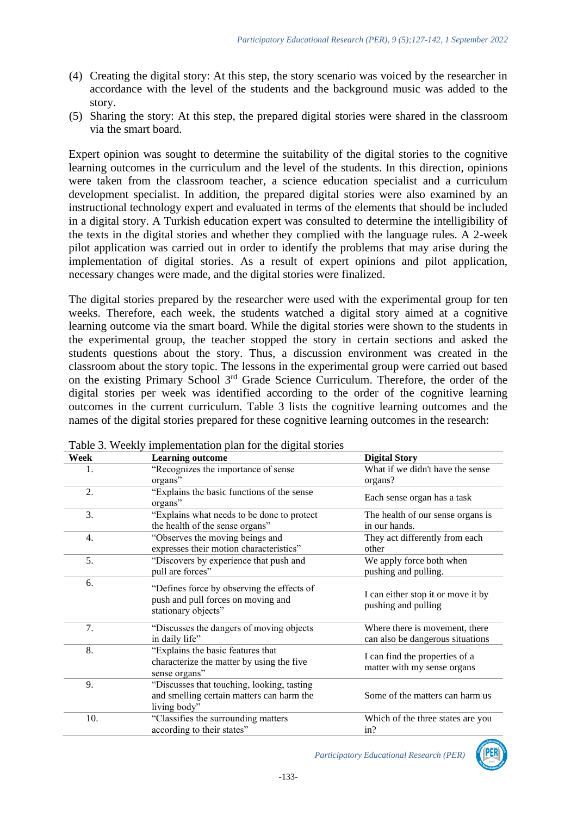- (4) Creating the digital story: At this step, the story scenario was voiced by the researcher in accordance with the level of the students and the background music was added to the story.
- (5) Sharing the story: At this step, the prepared digital stories were shared in the classroom via the smart board.

Expert opinion was sought to determine the suitability of the digital stories to the cognitive learning outcomes in the curriculum and the level of the students. In this direction, opinions were taken from the classroom teacher, a science education specialist and a curriculum development specialist. In addition, the prepared digital stories were also examined by an instructional technology expert and evaluated in terms of the elements that should be included in a digital story. A Turkish education expert was consulted to determine the intelligibility of the texts in the digital stories and whether they complied with the language rules. A 2-week pilot application was carried out in order to identify the problems that may arise during the implementation of digital stories. As a result of expert opinions and pilot application, necessary changes were made, and the digital stories were finalized.

The digital stories prepared by the researcher were used with the experimental group for ten weeks. Therefore, each week, the students watched a digital story aimed at a cognitive learning outcome via the smart board. While the digital stories were shown to the students in the experimental group, the teacher stopped the story in certain sections and asked the students questions about the story. Thus, a discussion environment was created in the classroom about the story topic. The lessons in the experimental group were carried out based on the existing Primary School 3rd Grade Science Curriculum. Therefore, the order of the digital stories per week was identified according to the order of the cognitive learning outcomes in the current curriculum. Table 3 lists the cognitive learning outcomes and the names of the digital stories prepared for these cognitive learning outcomes in the research:

| Week | <b>Learning outcome</b>                                                                                 | <b>Digital Story</b>                                               |
|------|---------------------------------------------------------------------------------------------------------|--------------------------------------------------------------------|
| 1.   | "Recognizes the importance of sense<br>organs"                                                          | What if we didn't have the sense<br>organs?                        |
| 2.   | "Explains the basic functions of the sense<br>organs"                                                   | Each sense organ has a task                                        |
| 3.   | "Explains what needs to be done to protect"<br>the health of the sense organs"                          | The health of our sense organs is<br>in our hands.                 |
| 4.   | "Observes the moving beings and<br>expresses their motion characteristics"                              | They act differently from each<br>other                            |
| 5.   | "Discovers by experience that push and<br>pull are forces"                                              | We apply force both when<br>pushing and pulling.                   |
| 6.   | "Defines force by observing the effects of<br>push and pull forces on moving and<br>stationary objects" | I can either stop it or move it by<br>pushing and pulling          |
| 7.   | "Discusses the dangers of moving objects<br>in daily life"                                              | Where there is movement, there<br>can also be dangerous situations |
| 8.   | "Explains the basic features that<br>characterize the matter by using the five<br>sense organs"         | I can find the properties of a<br>matter with my sense organs      |
| 9.   | "Discusses that touching, looking, tasting<br>and smelling certain matters can harm the<br>living body" | Some of the matters can harm us                                    |
| 10.  | "Classifies the surrounding matters<br>according to their states"                                       | Which of the three states are you<br>in?                           |

Table 3. Weekly implementation plan for the digital stories

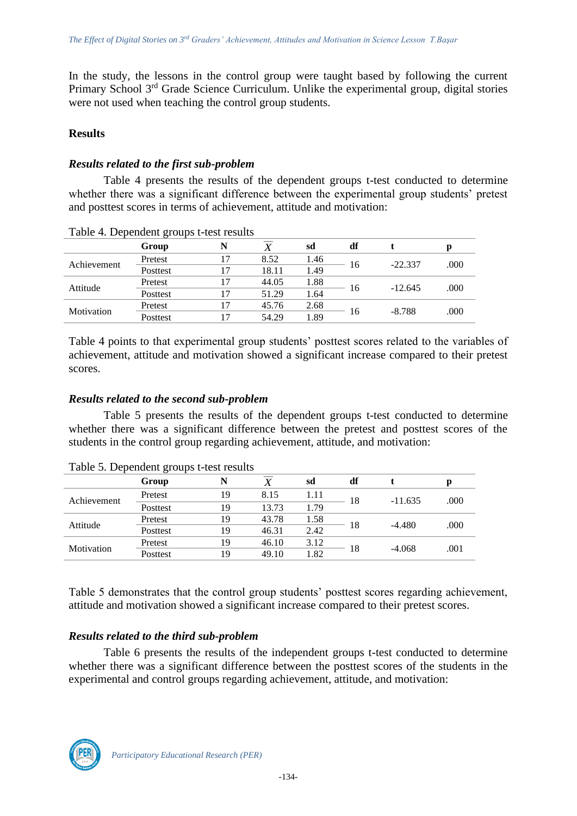In the study, the lessons in the control group were taught based by following the current Primary School 3rd Grade Science Curriculum. Unlike the experimental group, digital stories were not used when teaching the control group students.

## **Results**

## *Results related to the first sub-problem*

Table 4 presents the results of the dependent groups t-test conducted to determine whether there was a significant difference between the experimental group students' pretest and posttest scores in terms of achievement, attitude and motivation:

| 0 <sup>-</sup> |          |  |       |      |    |           |      |
|----------------|----------|--|-------|------|----|-----------|------|
|                | Group    |  |       | sd   | df |           | Ŋ    |
|                | Pretest  |  | 8.52  | 1.46 | 16 | $-22.337$ | .000 |
| Achievement    | Posttest |  | 18.11 | 1.49 |    |           |      |
| Attitude       | Pretest  |  | 44.05 | 1.88 | 16 | $-12.645$ | .000 |
|                | Posttest |  | 51.29 | 1.64 |    |           |      |
| Motivation     | Pretest  |  | 45.76 | 2.68 | 16 | $-8.788$  | .000 |
|                | Posttest |  | 54.29 | 1.89 |    |           |      |

Table 4. Dependent groups t-test results

Table 4 points to that experimental group students' posttest scores related to the variables of achievement, attitude and motivation showed a significant increase compared to their pretest scores.

## *Results related to the second sub-problem*

Table 5 presents the results of the dependent groups t-test conducted to determine whether there was a significant difference between the pretest and posttest scores of the students in the control group regarding achievement, attitude, and motivation:

| Table 5. Dependent groups to the results |          |    |       |      |    |           |      |
|------------------------------------------|----------|----|-------|------|----|-----------|------|
|                                          | Group    |    |       | sd   | df |           |      |
| Achievement                              | Pretest  | 19 | 8.15  | 1.11 | 18 | $-11.635$ | .000 |
|                                          | Posttest | 19 | 13.73 | 1.79 |    |           |      |
| Attitude                                 | Pretest  | 19 | 43.78 | 1.58 | 18 | $-4.480$  | .000 |
|                                          | Posttest | 19 | 46.31 | 2.42 |    |           |      |
| Motivation                               | Pretest  | 19 | 46.10 | 3.12 | 18 | $-4.068$  | .001 |
|                                          | Posttest | 19 | 49.10 | l.82 |    |           |      |

Table 5. Dependent groups t-test results

Table 5 demonstrates that the control group students' posttest scores regarding achievement, attitude and motivation showed a significant increase compared to their pretest scores.

## *Results related to the third sub-problem*

Table 6 presents the results of the independent groups t-test conducted to determine whether there was a significant difference between the posttest scores of the students in the experimental and control groups regarding achievement, attitude, and motivation:

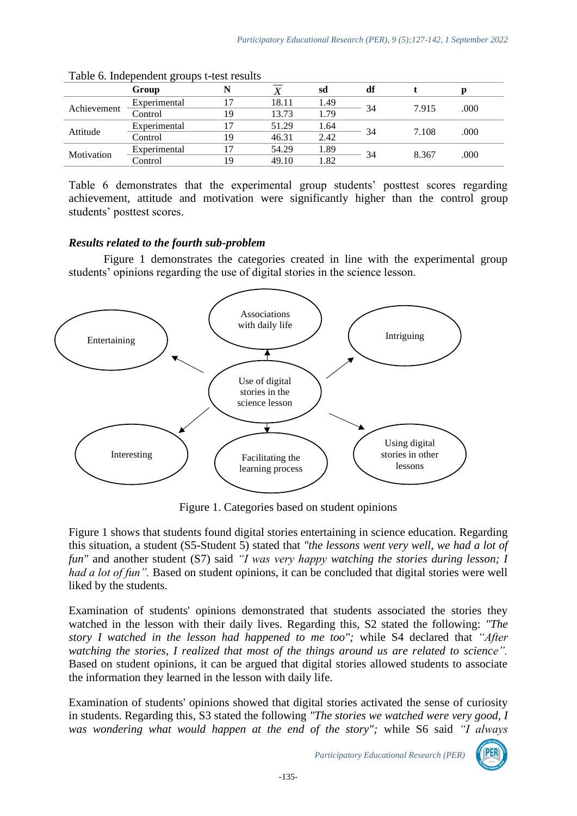|             | Group        |    |       | sd   | df |       |      |
|-------------|--------------|----|-------|------|----|-------|------|
| Achievement | Experimental | 7  | 18.11 | 1.49 |    | 7.915 | .000 |
|             | Control      | 19 | 13.73 | 1.79 | 34 |       |      |
| Attitude    | Experimental | 7  | 51.29 | 1.64 |    | 7.108 | .000 |
|             | Control      | 19 | 46.31 | 2.42 | 34 |       |      |
| Motivation  | Experimental |    | 54.29 | 1.89 | 34 | 8.367 | .000 |
|             | Control      | 19 | 49.10 | 1.82 |    |       |      |

| Table 6. Independent groups t-test results |  |
|--------------------------------------------|--|
|--------------------------------------------|--|

Table 6 demonstrates that the experimental group students' posttest scores regarding achievement, attitude and motivation were significantly higher than the control group students' posttest scores.

## *Results related to the fourth sub-problem*

Figure 1 demonstrates the categories created in line with the experimental group students' opinions regarding the use of digital stories in the science lesson.



Figure 1. Categories based on student opinions

Figure 1 shows that students found digital stories entertaining in science education. Regarding this situation, a student (S5-Student 5) stated that *"the lessons went very well, we had a lot of fun"* and another student (S7) said *"I was very happy watching the stories during lesson; I had a lot of fun".* Based on student opinions, it can be concluded that digital stories were well liked by the students.

Examination of students' opinions demonstrated that students associated the stories they watched in the lesson with their daily lives. Regarding this, S2 stated the following: *"The story I watched in the lesson had happened to me too";* while S4 declared that *"After watching the stories, I realized that most of the things around us are related to science".*  Based on student opinions, it can be argued that digital stories allowed students to associate the information they learned in the lesson with daily life.

Examination of students' opinions showed that digital stories activated the sense of curiosity in students. Regarding this, S3 stated the following *"The stories we watched were very good, I was wondering what would happen at the end of the story";* while S6 said *"I always* 

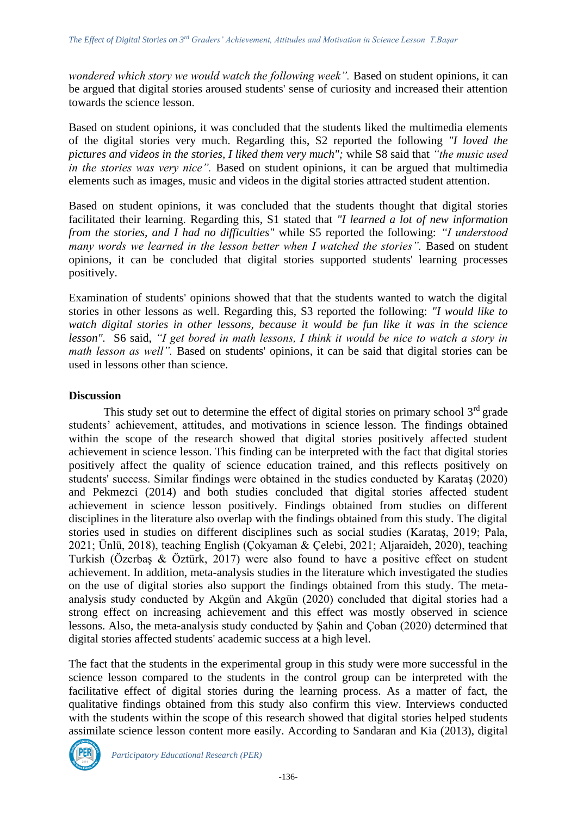*wondered which story we would watch the following week".* Based on student opinions, it can be argued that digital stories aroused students' sense of curiosity and increased their attention towards the science lesson.

Based on student opinions, it was concluded that the students liked the multimedia elements of the digital stories very much. Regarding this, S2 reported the following *"I loved the pictures and videos in the stories, I liked them very much";* while S8 said that *"the music used in the stories was very nice".* Based on student opinions, it can be argued that multimedia elements such as images, music and videos in the digital stories attracted student attention.

Based on student opinions, it was concluded that the students thought that digital stories facilitated their learning. Regarding this, S1 stated that *"I learned a lot of new information from the stories, and I had no difficulties"* while S5 reported the following: *"I understood many words we learned in the lesson better when I watched the stories"*. Based on student opinions, it can be concluded that digital stories supported students' learning processes positively.

Examination of students' opinions showed that that the students wanted to watch the digital stories in other lessons as well. Regarding this, S3 reported the following: *"I would like to watch digital stories in other lessons, because it would be fun like it was in the science lesson".* S6 said, *"I get bored in math lessons, I think it would be nice to watch a story in math lesson as well*". Based on students' opinions, it can be said that digital stories can be used in lessons other than science.

#### **Discussion**

This study set out to determine the effect of digital stories on primary school  $3<sup>rd</sup>$  grade students' achievement, attitudes, and motivations in science lesson. The findings obtained within the scope of the research showed that digital stories positively affected student achievement in science lesson. This finding can be interpreted with the fact that digital stories positively affect the quality of science education trained, and this reflects positively on students' success. Similar findings were obtained in the studies conducted by Karataş (2020) and Pekmezci (2014) and both studies concluded that digital stories affected student achievement in science lesson positively. Findings obtained from studies on different disciplines in the literature also overlap with the findings obtained from this study. The digital stories used in studies on different disciplines such as social studies (Karataş, 2019; Pala, 2021; Ünlü, 2018), teaching English (Çokyaman & Çelebi, 2021; Aljaraideh, 2020), teaching Turkish (Özerbaş & Öztürk, 2017) were also found to have a positive effect on student achievement. In addition, meta-analysis studies in the literature which investigated the studies on the use of digital stories also support the findings obtained from this study. The metaanalysis study conducted by Akgün and Akgün (2020) concluded that digital stories had a strong effect on increasing achievement and this effect was mostly observed in science lessons. Also, the meta-analysis study conducted by Şahin and Çoban (2020) determined that digital stories affected students' academic success at a high level.

The fact that the students in the experimental group in this study were more successful in the science lesson compared to the students in the control group can be interpreted with the facilitative effect of digital stories during the learning process. As a matter of fact, the qualitative findings obtained from this study also confirm this view. Interviews conducted with the students within the scope of this research showed that digital stories helped students assimilate science lesson content more easily. According to Sandaran and Kia (2013), digital

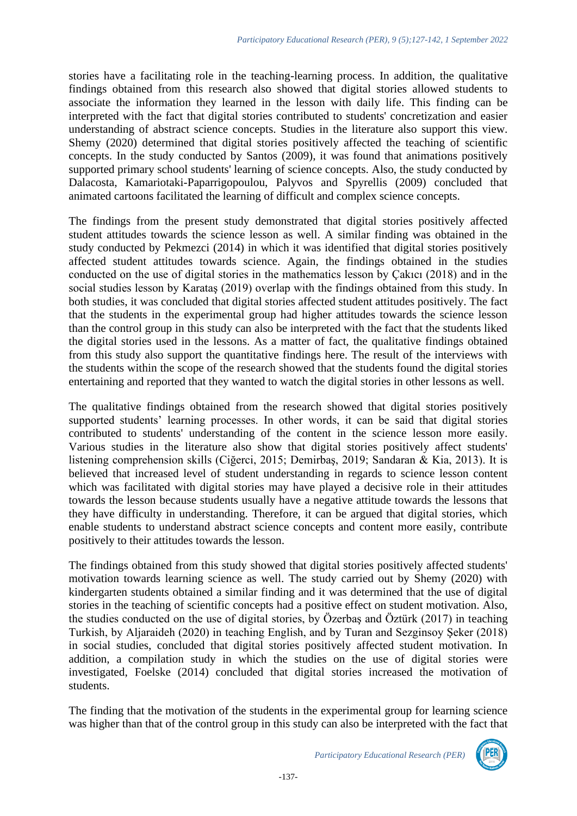stories have a facilitating role in the teaching-learning process. In addition, the qualitative findings obtained from this research also showed that digital stories allowed students to associate the information they learned in the lesson with daily life. This finding can be interpreted with the fact that digital stories contributed to students' concretization and easier understanding of abstract science concepts. Studies in the literature also support this view. Shemy (2020) determined that digital stories positively affected the teaching of scientific concepts. In the study conducted by Santos (2009), it was found that animations positively supported primary school students' learning of science concepts. Also, the study conducted by Dalacosta, Kamariotaki-Paparrigopoulou, Palyvos and Spyrellis (2009) concluded that animated cartoons facilitated the learning of difficult and complex science concepts.

The findings from the present study demonstrated that digital stories positively affected student attitudes towards the science lesson as well. A similar finding was obtained in the study conducted by Pekmezci (2014) in which it was identified that digital stories positively affected student attitudes towards science. Again, the findings obtained in the studies conducted on the use of digital stories in the mathematics lesson by Çakıcı (2018) and in the social studies lesson by Karataş (2019) overlap with the findings obtained from this study. In both studies, it was concluded that digital stories affected student attitudes positively. The fact that the students in the experimental group had higher attitudes towards the science lesson than the control group in this study can also be interpreted with the fact that the students liked the digital stories used in the lessons. As a matter of fact, the qualitative findings obtained from this study also support the quantitative findings here. The result of the interviews with the students within the scope of the research showed that the students found the digital stories entertaining and reported that they wanted to watch the digital stories in other lessons as well.

The qualitative findings obtained from the research showed that digital stories positively supported students' learning processes. In other words, it can be said that digital stories contributed to students' understanding of the content in the science lesson more easily. Various studies in the literature also show that digital stories positively affect students' listening comprehension skills (Ciğerci, 2015; Demirbaş, 2019; Sandaran & Kia, 2013). It is believed that increased level of student understanding in regards to science lesson content which was facilitated with digital stories may have played a decisive role in their attitudes towards the lesson because students usually have a negative attitude towards the lessons that they have difficulty in understanding. Therefore, it can be argued that digital stories, which enable students to understand abstract science concepts and content more easily, contribute positively to their attitudes towards the lesson.

The findings obtained from this study showed that digital stories positively affected students' motivation towards learning science as well. The study carried out by Shemy (2020) with kindergarten students obtained a similar finding and it was determined that the use of digital stories in the teaching of scientific concepts had a positive effect on student motivation. Also, the studies conducted on the use of digital stories, by Özerbaş and Öztürk (2017) in teaching Turkish, by Aljaraideh (2020) in teaching English, and by Turan and Sezginsoy Şeker (2018) in social studies, concluded that digital stories positively affected student motivation. In addition, a compilation study in which the studies on the use of digital stories were investigated, Foelske (2014) concluded that digital stories increased the motivation of students.

The finding that the motivation of the students in the experimental group for learning science was higher than that of the control group in this study can also be interpreted with the fact that

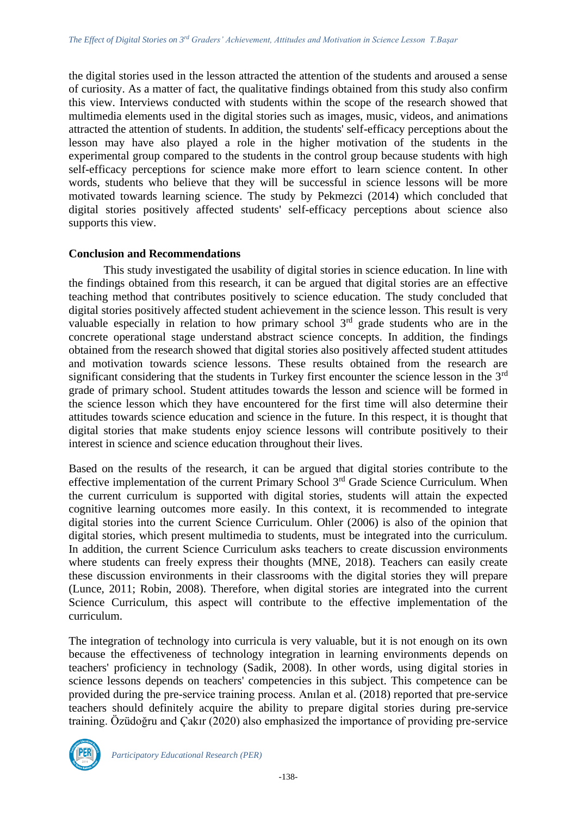the digital stories used in the lesson attracted the attention of the students and aroused a sense of curiosity. As a matter of fact, the qualitative findings obtained from this study also confirm this view. Interviews conducted with students within the scope of the research showed that multimedia elements used in the digital stories such as images, music, videos, and animations attracted the attention of students. In addition, the students' self-efficacy perceptions about the lesson may have also played a role in the higher motivation of the students in the experimental group compared to the students in the control group because students with high self-efficacy perceptions for science make more effort to learn science content. In other words, students who believe that they will be successful in science lessons will be more motivated towards learning science. The study by Pekmezci (2014) which concluded that digital stories positively affected students' self-efficacy perceptions about science also supports this view.

#### **Conclusion and Recommendations**

This study investigated the usability of digital stories in science education. In line with the findings obtained from this research, it can be argued that digital stories are an effective teaching method that contributes positively to science education. The study concluded that digital stories positively affected student achievement in the science lesson. This result is very valuable especially in relation to how primary school  $3<sup>rd</sup>$  grade students who are in the concrete operational stage understand abstract science concepts. In addition, the findings obtained from the research showed that digital stories also positively affected student attitudes and motivation towards science lessons. These results obtained from the research are significant considering that the students in Turkey first encounter the science lesson in the 3<sup>rd</sup> grade of primary school. Student attitudes towards the lesson and science will be formed in the science lesson which they have encountered for the first time will also determine their attitudes towards science education and science in the future. In this respect, it is thought that digital stories that make students enjoy science lessons will contribute positively to their interest in science and science education throughout their lives.

Based on the results of the research, it can be argued that digital stories contribute to the effective implementation of the current Primary School 3rd Grade Science Curriculum. When the current curriculum is supported with digital stories, students will attain the expected cognitive learning outcomes more easily. In this context, it is recommended to integrate digital stories into the current Science Curriculum. Ohler (2006) is also of the opinion that digital stories, which present multimedia to students, must be integrated into the curriculum. In addition, the current Science Curriculum asks teachers to create discussion environments where students can freely express their thoughts (MNE, 2018). Teachers can easily create these discussion environments in their classrooms with the digital stories they will prepare (Lunce, 2011; Robin, 2008). Therefore, when digital stories are integrated into the current Science Curriculum, this aspect will contribute to the effective implementation of the curriculum.

The integration of technology into curricula is very valuable, but it is not enough on its own because the effectiveness of technology integration in learning environments depends on teachers' proficiency in technology (Sadik, 2008). In other words, using digital stories in science lessons depends on teachers' competencies in this subject. This competence can be provided during the pre-service training process. Anılan et al. (2018) reported that pre-service teachers should definitely acquire the ability to prepare digital stories during pre-service training. Özüdoğru and Çakır (2020) also emphasized the importance of providing pre-service

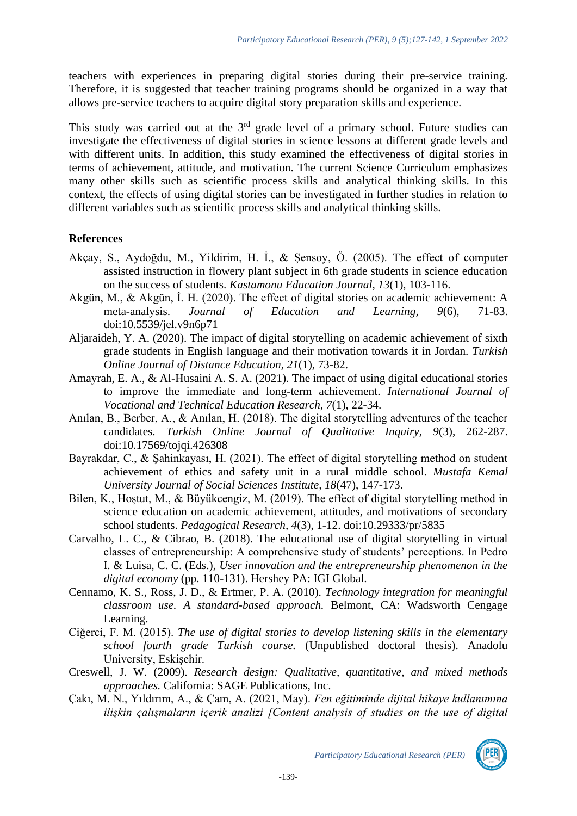teachers with experiences in preparing digital stories during their pre-service training. Therefore, it is suggested that teacher training programs should be organized in a way that allows pre-service teachers to acquire digital story preparation skills and experience.

This study was carried out at the  $3<sup>rd</sup>$  grade level of a primary school. Future studies can investigate the effectiveness of digital stories in science lessons at different grade levels and with different units. In addition, this study examined the effectiveness of digital stories in terms of achievement, attitude, and motivation. The current Science Curriculum emphasizes many other skills such as scientific process skills and analytical thinking skills. In this context, the effects of using digital stories can be investigated in further studies in relation to different variables such as scientific process skills and analytical thinking skills.

## **References**

- Akçay, S., Aydoğdu, M., Yildirim, H. İ., & Şensoy, Ö. (2005). The effect of computer assisted instruction in flowery plant subject in 6th grade students in science education on the success of students. *Kastamonu Education Journal, 13*(1), 103-116.
- Akgün, M., & Akgün, İ. H. (2020). The effect of digital stories on academic achievement: A meta-analysis. *Journal of Education and Learning, 9*(6), 71-83. doi:10.5539/jel.v9n6p71
- Aljaraideh, Y. A. (2020). The impact of digital storytelling on academic achievement of sixth grade students in English language and their motivation towards it in Jordan. *Turkish Online Journal of Distance Education, 21*(1), 73-82.
- Amayrah, E. A., & Al-Husaini A. S. A. (2021). The impact of using digital educational stories to improve the immediate and long-term achievement. *International Journal of Vocational and Technical Education Research, 7*(1), 22-34.
- Anılan, B., Berber, A., & Anılan, H. (2018). The digital storytelling adventures of the teacher candidates. *Turkish Online Journal of Qualitative Inquiry, 9*(3), 262-287. doi:10.17569/tojqi.426308
- Bayrakdar, C., & Şahinkayası, H. (2021). The effect of digital storytelling method on student achievement of ethics and safety unit in a rural middle school. *Mustafa Kemal University Journal of Social Sciences Institute, 18*(47), 147-173.
- Bilen, K., Hoştut, M., & Büyükcengiz, M. (2019). The effect of digital storytelling method in science education on academic achievement, attitudes, and motivations of secondary school students. *Pedagogical Research, 4*(3), 1-12. doi:10.29333/pr/5835
- Carvalho, L. C., & Cibrao, B. (2018). The educational use of digital storytelling in virtual classes of entrepreneurship: A comprehensive study of students' perceptions. In Pedro I. & Luisa, C. C. (Eds.), *User innovation and the entrepreneurship phenomenon in the digital economy* (pp. 110-131). Hershey PA: IGI Global.
- Cennamo, K. S., Ross, J. D., & Ertmer, P. A. (2010). *Technology integration for meaningful classroom use. A standard-based approach.* Belmont, CA: Wadsworth Cengage Learning.
- Ciğerci, F. M. (2015). *The use of digital stories to develop listening skills in the elementary school fourth grade Turkish course.* (Unpublished doctoral thesis). Anadolu University, Eskişehir.
- Creswell, J. W. (2009). *Research design: Qualitative, quantitative, and mixed methods approaches.* California: SAGE Publications, Inc.
- Çakı, M. N., Yıldırım, A., & Çam, A. (2021, May). *Fen eğitiminde dijital hikaye kullanımına ilişkin çalışmaların içerik analizi [Content analysis of studies on the use of digital*

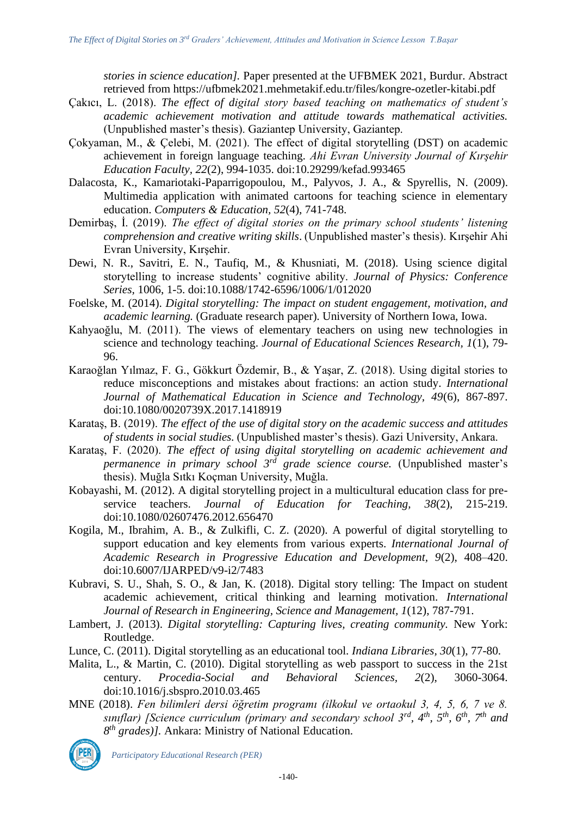*stories in science education].* Paper presented at the UFBMEK 2021, Burdur. Abstract retrieved from<https://ufbmek2021.mehmetakif.edu.tr/files/kongre-ozetler-kitabi.pdf>

- Çakıcı, L. (2018). *The effect of digital story based teaching on mathematics of student's academic achievement motivation and attitude towards mathematical activities.* (Unpublished master's thesis). Gaziantep University, Gaziantep.
- Çokyaman, M., & Çelebi, M. (2021). The effect of digital storytelling (DST) on academic achievement in foreign language teaching. *Ahi Evran University Journal of Kırşehir Education Faculty, 22*(2), 994-1035. doi:10.29299/kefad.993465
- Dalacosta, K., Kamariotaki-Paparrigopoulou, M., Palyvos, J. A., & Spyrellis, N. (2009). Multimedia application with animated cartoons for teaching science in elementary education. *Computers & Education, 52*(4), 741-748.
- Demirbaş, İ. (2019). *The effect of digital stories on the primary school students' listening comprehension and creative writing skills*. (Unpublished master's thesis). Kırşehir Ahi Evran University, Kırşehir.
- Dewi, N. R., Savitri, E. N., Taufiq, M., & Khusniati, M. (2018). Using science digital storytelling to increase students' cognitive ability. *Journal of Physics: Conference Series,* 1006, 1-5. doi:10.1088/1742-6596/1006/1/012020
- Foelske, M. (2014). *Digital storytelling: The impact on student engagement, motivation, and academic learning.* (Graduate research paper). University of Northern Iowa, Iowa.
- Kahyaoğlu, M. (2011). The views of elementary teachers on using new technologies in science and technology teaching. *Journal of Educational Sciences Research, 1*(1), 79- 96.
- Karaoğlan Yılmaz, F. G., Gökkurt Özdemir, B., & Yaşar, Z. (2018). Using digital stories to reduce misconceptions and mistakes about fractions: an action study. *International Journal of Mathematical Education in Science and Technology, 49*(6), 867-897. doi:10.1080/0020739X.2017.1418919
- Karataş, B. (2019). *The effect of the use of digital story on the academic success and attitudes of students in social studies.* (Unpublished master's thesis). Gazi University, Ankara.
- Karataş, F. (2020). *The effect of using digital storytelling on academic achievement and permanence in primary school 3rd grade science course.* (Unpublished master's thesis). Muğla Sıtkı Koçman University, Muğla.
- Kobayashi, M. (2012). A digital storytelling project in a multicultural education class for preservice teachers. *Journal of Education for Teaching, 38*(2), 215-219. doi:10.1080/02607476.2012.656470
- Kogila, M., Ibrahim, A. B., & Zulkifli, C. Z. (2020). A powerful of digital storytelling to support education and key elements from various experts. *International Journal of Academic Research in Progressive Education and Development, 9*(2), 408–420. doi:10.6007/IJARPED/v9-i2/7483
- Kubravi, S. U., Shah, S. O., & Jan, K. (2018). Digital story telling: The Impact on student academic achievement, critical thinking and learning motivation. *International Journal of Research in Engineering, Science and Management, 1*(12), 787-791.
- Lambert, J. (2013). *Digital storytelling: Capturing lives, creating community.* New York: Routledge.
- Lunce, C. (2011). Digital storytelling as an educational tool. *Indiana Libraries, 30*(1), 77-80.
- Malita, L., & Martin, C. (2010). Digital storytelling as web passport to success in the 21st century. *Procedia-Social and Behavioral Sciences, 2*(2), 3060-3064. doi:10.1016/j.sbspro.2010.03.465
- MNE (2018). *Fen bilimleri dersi öğretim programı (ilkokul ve ortaokul 3, 4, 5, 6, 7 ve 8. sınıflar) [Science curriculum (primary and secondary school 3rd, 4th, 5th, 6th, 7th and 8 th grades)].* Ankara: Ministry of National Education.

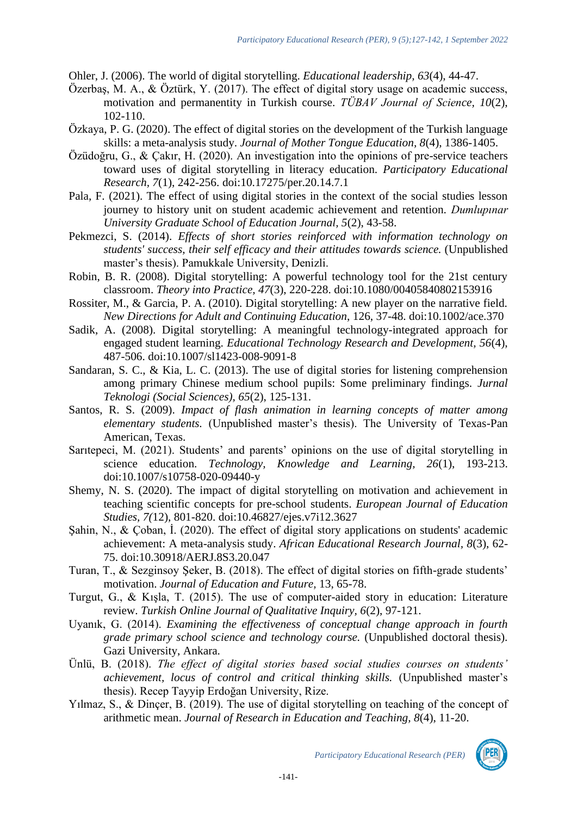Ohler, J. (2006). The world of digital storytelling. *Educational leadership, 63*(4), 44-47.

- Özerbaş, M. A., & Öztürk, Y. (2017). The effect of digital story usage on academic success, motivation and permanentity in Turkish course. *TÜBAV Journal of Science, 10*(2), 102-110.
- Özkaya, P. G. (2020). The effect of digital stories on the development of the Turkish language skills: a meta-analysis study. *Journal of Mother Tongue Education, 8*(4), 1386-1405.
- Özüdoğru, G., & Çakır, H. (2020). An investigation into the opinions of pre-service teachers toward uses of digital storytelling in literacy education. *Participatory Educational Research, 7*(1), 242-256. doi:10.17275/per.20.14.7.1
- Pala, F. (2021). The effect of using digital stories in the context of the social studies lesson journey to history unit on student academic achievement and retention. *Dumlupınar University Graduate School of Education Journal, 5*(2), 43-58.
- Pekmezci, S. (2014). *Effects of short stories reinforced with information technology on students' success, their self efficacy and their attitudes towards science.* (Unpublished master's thesis). Pamukkale University, Denizli.
- Robin, B. R. (2008). Digital storytelling: A powerful technology tool for the 21st century classroom. *Theory into Practice, 47*(3), 220-228. doi:10.1080/00405840802153916
- Rossiter, M., & Garcia, P. A. (2010). Digital storytelling: A new player on the narrative field. *New Directions for Adult and Continuing Education*, 126, 37-48. doi:10.1002/ace.370
- Sadik, A. (2008). Digital storytelling: A meaningful technology-integrated approach for engaged student learning. *Educational Technology Research and Development, 56*(4), 487-506. doi:10.1007/sl1423-008-9091-8
- Sandaran, S. C., & Kia, L. C. (2013). The use of digital stories for listening comprehension among primary Chinese medium school pupils: Some preliminary findings. *Jurnal Teknologi (Social Sciences), 65*(2), 125-131.
- Santos, R. S. (2009). *Impact of flash animation in learning concepts of matter among elementary students.* (Unpublished master's thesis). The University of Texas-Pan American, Texas.
- Sarıtepeci, M. (2021). Students' and parents' opinions on the use of digital storytelling in science education. *Technology, Knowledge and Learning, 26*(1), 193-213. doi:10.1007/s10758-020-09440-y
- Shemy, N. S. (2020). The impact of digital storytelling on motivation and achievement in teaching scientific concepts for pre-school students. *European Journal of Education Studies, 7(*12), 801-820. doi:10.46827/ejes.v7i12.3627
- Şahin, N., & Çoban, İ. (2020). The effect of digital story applications on students' academic achievement: A meta-analysis study. *African Educational Research Journal, 8*(3), 62- 75. doi:10.30918/AERJ.8S3.20.047
- Turan, T., & Sezginsoy Şeker, B. (2018). The effect of digital stories on fifth-grade students' motivation. *Journal of Education and Future,* 13, 65-78.
- Turgut, G., & Kışla, T. (2015). The use of computer-aided story in education: Literature review. *Turkish Online Journal of Qualitative Inquiry, 6*(2), 97-121.
- Uyanık, G. (2014). *Examining the effectiveness of conceptual change approach in fourth grade primary school science and technology course.* (Unpublished doctoral thesis). Gazi University, Ankara.
- Ünlü, B. (2018). *The effect of digital stories based social studies courses on students' achievement, locus of control and critical thinking skills.* (Unpublished master's thesis). Recep Tayyip Erdoğan University, Rize.
- Yılmaz, S., & Dinçer, B. (2019). The use of digital storytelling on teaching of the concept of arithmetic mean. *Journal of Research in Education and Teaching, 8*(4), 11-20.